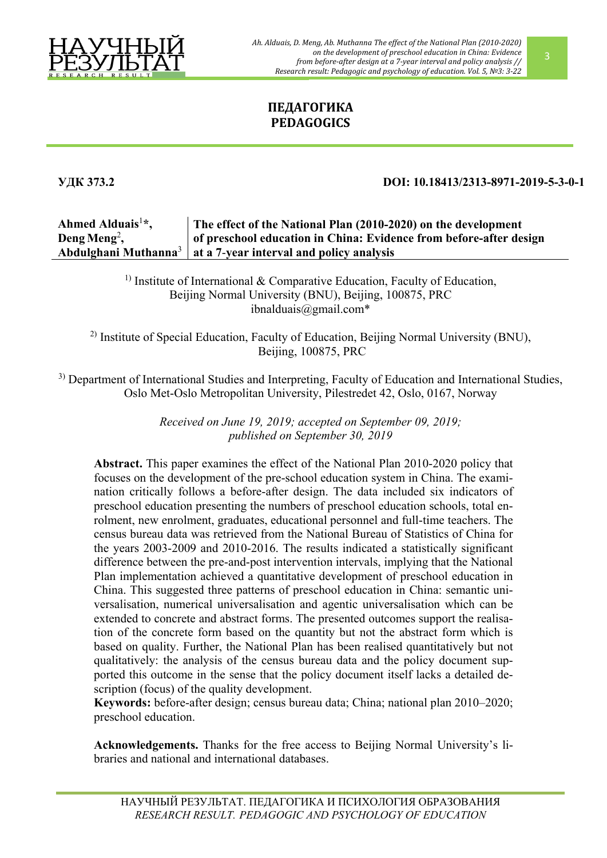

*Ah. Alduais, D. Meng, Ab. Muthanna The effect of the National Plan (2010-2020) on the development of preschool education in China: Evidence from before-after design at a 7-year interval and policy analysis // Research result: Pedagogic and psychology of education. Vol. 5, №3: 3-22*

# **ПЕДАГОГИКА PEDAGOGICS**

## **УДК 373.2 DOI: 10.18413/2313-8971-2019-5-3-0-1**

#### **Ahmed Alduais**<sup>1</sup> **\*, Deng Meng**<sup>2</sup> **, Abdulghani Muthanna**<sup>3</sup> **The effect of the National Plan (2010-2020) on the development of preschool education in China: Evidence from before-after design at a 7**-**year interval and policy analysis**

<sup>1)</sup> Institute of International  $&$  Comparative Education, Faculty of Education, Beijing Normal University (BNU), Beijing, 100875, PRC [ibnalduais@gmail.com](mailto:ibnalduais@gmail.com)\*

2) Institute of Special Education, Faculty of Education, Beijing Normal University (BNU), Beijing, 100875, PRC

<sup>3)</sup> Department of International Studies and Interpreting, Faculty of Education and International Studies, Oslo Met-Oslo Metropolitan University, Pilestredet 42, Oslo, 0167, Norway

> *Received on June 19, 2019; accepted on September 09, 2019; published on September 30, 2019*

**Abstract.** This paper examines the effect of the National Plan 2010-2020 policy that focuses on the development of the pre-school education system in China. The examination critically follows a before-after design. The data included six indicators of preschool education presenting the numbers of preschool education schools, total enrolment, new enrolment, graduates, educational personnel and full-time teachers. The census bureau data was retrieved from the National Bureau of Statistics of China for the years 2003-2009 and 2010-2016. The results indicated a statistically significant difference between the pre-and-post intervention intervals, implying that the National Plan implementation achieved a quantitative development of preschool education in China. This suggested three patterns of preschool education in China: semantic universalisation, numerical universalisation and agentic universalisation which can be extended to concrete and abstract forms. The presented outcomes support the realisation of the concrete form based on the quantity but not the abstract form which is based on quality. Further, the National Plan has been realised quantitatively but not qualitatively: the analysis of the census bureau data and the policy document supported this outcome in the sense that the policy document itself lacks a detailed description (focus) of the quality development.

**Keywords:** before-after design; census bureau data; China; national plan 2010–2020; preschool education.

**Acknowledgements.** Thanks for the free access to Beijing Normal University's libraries and national and international databases.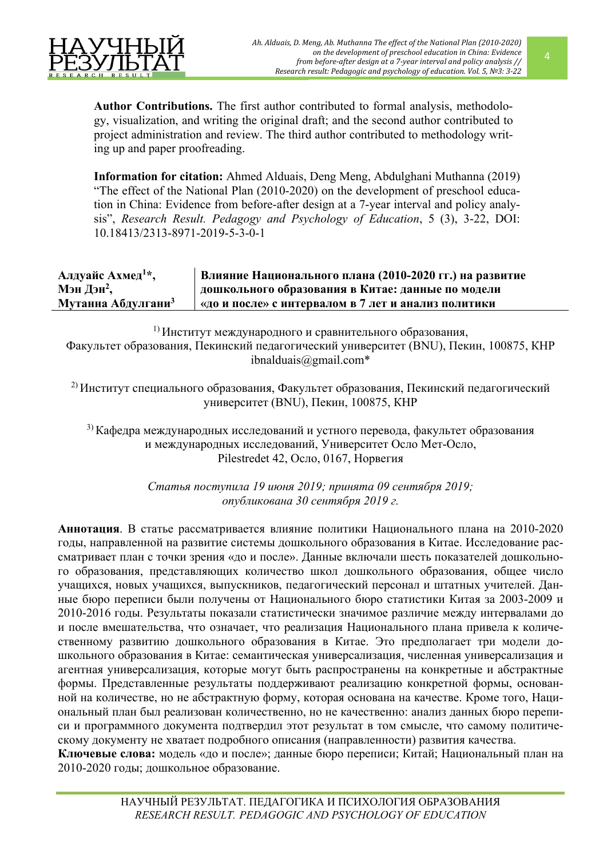

**Author Contributions.** The first author contributed to formal analysis, methodology, visualization, and writing the original draft; and the second author contributed to project administration and review. The third author contributed to methodology writing up and paper proofreading.

**Information for citation:** Ahmed Alduais, Deng Meng, Abdulghani Muthanna (2019) "The effect of the National Plan (2010-2020) on the development of preschool education in China: Evidence from before-after design at a 7-year interval and policy analysis", *Research Result. Pedagogy and Psychology of Education*, 5 (3), 3-22, DOI: 10.18413/2313-8971-2019-5-3-0-1

**Алдуайс Ахмед<sup>1</sup> \*, Мэн Дэн2, Мутанна Абдулгани<sup>3</sup> Влияние Национального плана (2010-2020 гг.) на развитие дошкольного образования в Китае: данные по модели «до и после» с интервалом в 7 лет и анализ политики**

1) Институт международного и сравнительного образования, Факультет образования, Пекинский педагогический университет (BNU), Пекин, 100875, КНР ibnalduais@gmail.com\*

2) Институт специального образования, Факультет образования, Пекинский педагогический университет (BNU), Пекин, 100875, КНР

<sup>3)</sup> Кафедра международных исследований и устного перевода, факультет образования и международных исследований, Университет Осло Мет-Осло, Pilestredet 42, Осло, 0167, Норвегия

> *Статья поступила 19 июня 2019; принята 09 сентября 2019; опубликована 30 сентября 2019 г.*

**Аннотация**. В статье рассматривается влияние политики Национального плана на 2010-2020 годы, направленной на развитие системы дошкольного образования в Китае. Исследование рассматривает план с точки зрения «до и после». Данные включали шесть показателей дошкольного образования, представляющих количество школ дошкольного образования, общее число учащихся, новых учащихся, выпускников, педагогический персонал и штатных учителей. Данные бюро переписи были получены от Национального бюро статистики Китая за 2003-2009 и 2010-2016 годы. Результаты показали статистически значимое различие между интервалами до и после вмешательства, что означает, что реализация Национального плана привела к количественному развитию дошкольного образования в Китае. Это предполагает три модели дошкольного образования в Китае: семантическая универсализация, численная универсализация и агентная универсализация, которые могут быть распространены на конкретные и абстрактные формы. Представленные результаты поддерживают реализацию конкретной формы, основанной на количестве, но не абстрактную форму, которая основана на качестве. Кроме того, Национальный план был реализован количественно, но не качественно: анализ данных бюро переписи и программного документа подтвердил этот результат в том смысле, что самому политическому документу не хватает подробного описания (направленности) развития качества. **Ключевые слова:** модель «до и после»; данные бюро переписи; Китай; Национальный план на 2010-2020 годы; дошкольное образование.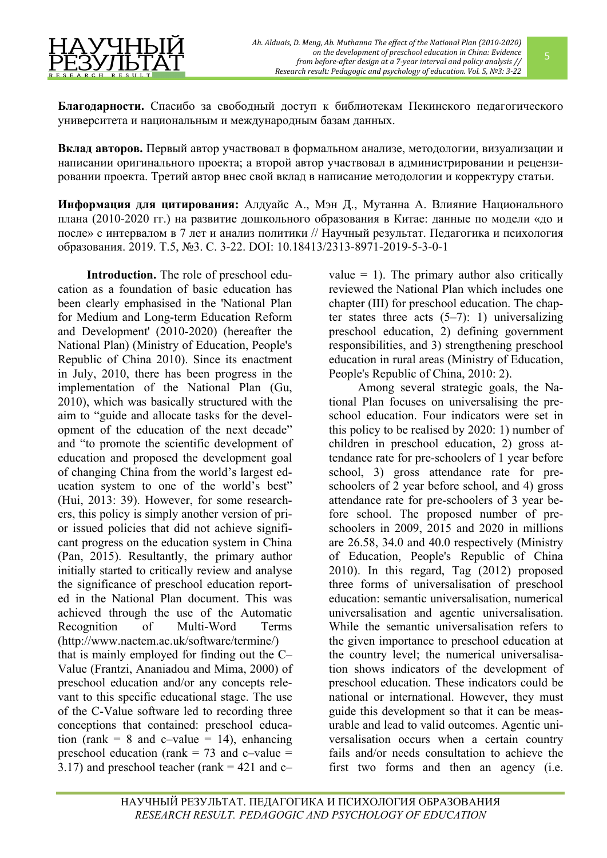**Благодарности.** Спасибо за свободный доступ к библиотекам Пекинского педагогического университета и национальным и международным базам данных.

**Вклад авторов.** Первый автор участвовал в формальном анализе, методологии, визуализации и написании оригинального проекта; а второй автор участвовал в администрировании и рецензировании проекта. Третий автор внес свой вклад в написание методологии и корректуру статьи.

**Информация для цитирования:** Алдуайс А., Мэн Д., Мутанна А. Влияние Национального плана (2010-2020 гг.) на развитие дошкольного образования в Китае: данные по модели «до и после» с интервалом в 7 лет и анализ политики // Научный результат. Педагогика и психология образования. 2019. Т.5, №3. С. 3-22. DOI: 10.18413/2313-8971-2019-5-3-0-1

**Introduction.** The role of preschool education as a foundation of basic education has been clearly emphasised in the 'National Plan for Medium and Long-term Education Reform and Development' (2010-2020) (hereafter the National Plan) (Ministry of Education, People's Republic of China 2010). Since its enactment in July, 2010, there has been progress in the implementation of the National Plan (Gu, 2010), which was basically structured with the aim to "guide and allocate tasks for the development of the education of the next decade" and "to promote the scientific development of education and proposed the development goal of changing China from the world's largest education system to one of the world's best" (Hui, 2013: 39). However, for some researchers, this policy is simply another version of prior issued policies that did not achieve significant progress on the education system in China (Pan, 2015). Resultantly, the primary author initially started to critically review and analyse the significance of preschool education reported in the National Plan document. This was achieved through the use of the Automatic Recognition of Multi-Word Terms [\(http://www.nactem.ac.uk/software/termine/\)](http://www.nactem.ac.uk/software/termine/) that is mainly employed for finding out the C– Value (Frantzi, Ananiadou and Mima, 2000) of preschool education and/or any concepts relevant to this specific educational stage. The use of the C-Value software led to recording three conceptions that contained: preschool education (rank = 8 and c–value = 14), enhancing preschool education (rank  $= 73$  and c–value  $=$ 3.17) and preschool teacher (rank  $= 421$  and c-

value  $= 1$ ). The primary author also critically reviewed the National Plan which includes one chapter (III) for preschool education. The chapter states three acts  $(5-7)$ : 1) universalizing preschool education, 2) defining government responsibilities, and 3) strengthening preschool education in rural areas (Ministry of Education, People's Republic of China, 2010: 2).

Among several strategic goals, the National Plan focuses on universalising the preschool education. Four indicators were set in this policy to be realised by 2020: 1) number of children in preschool education, 2) gross attendance rate for pre-schoolers of 1 year before school, 3) gross attendance rate for preschoolers of 2 year before school, and 4) gross attendance rate for pre-schoolers of 3 year before school. The proposed number of preschoolers in 2009, 2015 and 2020 in millions are 26.58, 34.0 and 40.0 respectively (Ministry of Education, People's Republic of China 2010). In this regard, Tag (2012) proposed three forms of universalisation of preschool education: semantic universalisation, numerical universalisation and agentic universalisation. While the semantic universalisation refers to the given importance to preschool education at the country level; the numerical universalisation shows indicators of the development of preschool education. These indicators could be national or international. However, they must guide this development so that it can be measurable and lead to valid outcomes. Agentic universalisation occurs when a certain country fails and/or needs consultation to achieve the first two forms and then an agency (i.e.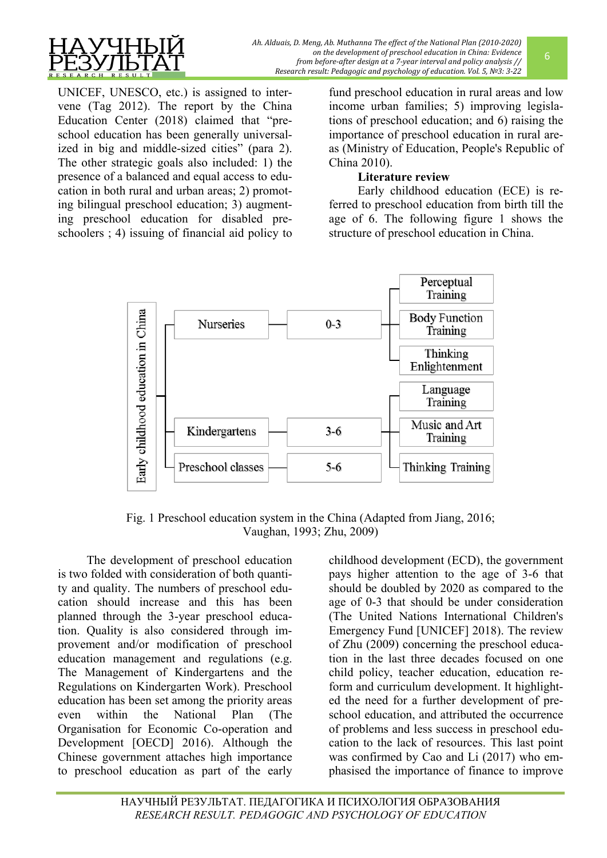

UNICEF, UNESCO, etc.) is assigned to intervene (Tag 2012). The report by the China Education Center (2018) claimed that "preschool education has been generally universalized in big and middle-sized cities" (para 2). The other strategic goals also included: 1) the presence of a balanced and equal access to education in both rural and urban areas; 2) promoting bilingual preschool education; 3) augmenting preschool education for disabled preschoolers ; 4) issuing of financial aid policy to

fund preschool education in rural areas and low income urban families; 5) improving legislations of preschool education; and 6) raising the importance of preschool education in rural areas (Ministry of Education, People's Republic of China 2010).

# **Literature review**

Early childhood education (ECE) is referred to preschool education from birth till the age of 6. The following figure 1 shows the structure of preschool education in China.



Fig. 1 Preschool education system in the China (Adapted from Jiang, 2016; Vaughan, 1993; Zhu, 2009)

The development of preschool education is two folded with consideration of both quantity and quality. The numbers of preschool education should increase and this has been planned through the 3-year preschool education. Quality is also considered through improvement and/or modification of preschool education management and regulations (e.g. The Management of Kindergartens and the Regulations on Kindergarten Work). Preschool education has been set among the priority areas even within the National Plan (The Organisation for Economic Co-operation and Development [OECD] 2016). Although the Chinese government attaches high importance to preschool education as part of the early

childhood development (ECD), the government pays higher attention to the age of 3-6 that should be doubled by 2020 as compared to the age of 0-3 that should be under consideration (The United Nations International Children's Emergency Fund [UNICEF] 2018). The review of Zhu (2009) concerning the preschool education in the last three decades focused on one child policy, teacher education, education reform and curriculum development. It highlighted the need for a further development of preschool education, and attributed the occurrence of problems and less success in preschool education to the lack of resources. This last point was confirmed by Cao and Li (2017) who emphasised the importance of finance to improve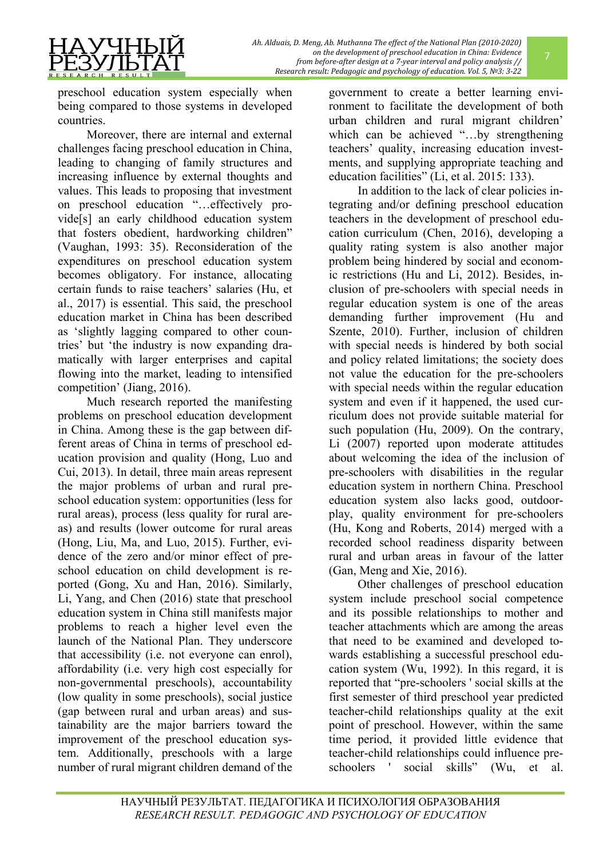preschool education system especially when being compared to those systems in developed countries.

Moreover, there are internal and external challenges facing preschool education in China, leading to changing of family structures and increasing influence by external thoughts and values. This leads to proposing that investment on preschool education "…effectively provide[s] an early childhood education system that fosters obedient, hardworking children" (Vaughan, 1993: 35). Reconsideration of the expenditures on preschool education system becomes obligatory. For instance, allocating certain funds to raise teachers' salaries (Hu, et al., 2017) is essential. This said, the preschool education market in China has been described as 'slightly lagging compared to other countries' but 'the industry is now expanding dramatically with larger enterprises and capital flowing into the market, leading to intensified competition' (Jiang, 2016).

Much research reported the manifesting problems on preschool education development in China. Among these is the gap between different areas of China in terms of preschool education provision and quality (Hong, Luo and Cui, 2013). In detail, three main areas represent the major problems of urban and rural preschool education system: opportunities (less for rural areas), process (less quality for rural areas) and results (lower outcome for rural areas (Hong, Liu, Ma, and Luo, 2015). Further, evidence of the zero and/or minor effect of preschool education on child development is reported (Gong, Xu and Han, 2016). Similarly, Li, Yang, and Chen (2016) state that preschool education system in China still manifests major problems to reach a higher level even the launch of the National Plan. They underscore that accessibility (i.e. not everyone can enrol), affordability (i.e. very high cost especially for non-governmental preschools), accountability (low quality in some preschools), social justice (gap between rural and urban areas) and sustainability are the major barriers toward the improvement of the preschool education system. Additionally, preschools with a large number of rural migrant children demand of the

government to create a better learning environment to facilitate the development of both urban children and rural migrant children' which can be achieved "...by strengthening teachers' quality, increasing education investments, and supplying appropriate teaching and education facilities" (Li, et al. 2015: 133).

In addition to the lack of clear policies integrating and/or defining preschool education teachers in the development of preschool education curriculum (Chen, 2016), developing a quality rating system is also another major problem being hindered by social and economic restrictions (Hu and Li, 2012). Besides, inclusion of pre-schoolers with special needs in regular education system is one of the areas demanding further improvement (Hu and Szente, 2010). Further, inclusion of children with special needs is hindered by both social and policy related limitations; the society does not value the education for the pre-schoolers with special needs within the regular education system and even if it happened, the used curriculum does not provide suitable material for such population (Hu, 2009). On the contrary, Li (2007) reported upon moderate attitudes about welcoming the idea of the inclusion of pre-schoolers with disabilities in the regular education system in northern China. Preschool education system also lacks good, outdoorplay, quality environment for pre-schoolers (Hu, Kong and Roberts, 2014) merged with a recorded school readiness disparity between rural and urban areas in favour of the latter (Gan, Meng and Xie, 2016).

Other challenges of preschool education system include preschool social competence and its possible relationships to mother and teacher attachments which are among the areas that need to be examined and developed towards establishing a successful preschool education system (Wu, 1992). In this regard, it is reported that "pre-schoolers ' social skills at the first semester of third preschool year predicted teacher-child relationships quality at the exit point of preschool. However, within the same time period, it provided little evidence that teacher-child relationships could influence preschoolers ' social skills" (Wu, et al.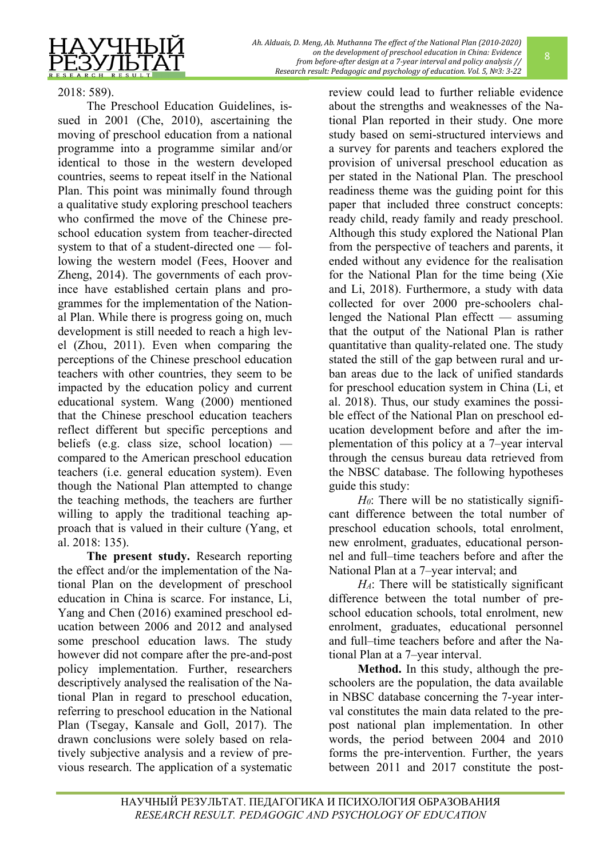2018: 589).

The Preschool Education Guidelines, issued in 2001 (Che, 2010), ascertaining the moving of preschool education from a national programme into a programme similar and/or identical to those in the western developed countries, seems to repeat itself in the National Plan. This point was minimally found through a qualitative study exploring preschool teachers who confirmed the move of the Chinese preschool education system from teacher-directed system to that of a student-directed one — following the western model (Fees, Hoover and Zheng, 2014). The governments of each province have established certain plans and programmes for the implementation of the National Plan. While there is progress going on, much development is still needed to reach a high level (Zhou, 2011). Even when comparing the perceptions of the Chinese preschool education teachers with other countries, they seem to be impacted by the education policy and current educational system. Wang (2000) mentioned that the Chinese preschool education teachers reflect different but specific perceptions and beliefs (e.g. class size, school location) compared to the American preschool education teachers (i.e. general education system). Even though the National Plan attempted to change the teaching methods, the teachers are further willing to apply the traditional teaching approach that is valued in their culture (Yang, et al. 2018: 135).

**The present study.** Research reporting the effect and/or the implementation of the National Plan on the development of preschool education in China is scarce. For instance, Li, Yang and Chen (2016) examined preschool education between 2006 and 2012 and analysed some preschool education laws. The study however did not compare after the pre-and-post policy implementation. Further, researchers descriptively analysed the realisation of the National Plan in regard to preschool education, referring to preschool education in the National Plan (Tsegay, Kansale and Goll, 2017). The drawn conclusions were solely based on relatively subjective analysis and a review of previous research. The application of a systematic review could lead to further reliable evidence about the strengths and weaknesses of the National Plan reported in their study. One more study based on semi-structured interviews and a survey for parents and teachers explored the provision of universal preschool education as per stated in the National Plan. The preschool readiness theme was the guiding point for this paper that included three construct concepts: ready child, ready family and ready preschool. Although this study explored the National Plan from the perspective of teachers and parents, it ended without any evidence for the realisation for the National Plan for the time being (Xie and Li, 2018). Furthermore, a study with data collected for over 2000 pre-schoolers challenged the National Plan effectt — assuming that the output of the National Plan is rather quantitative than quality-related one. The study stated the still of the gap between rural and urban areas due to the lack of unified standards for preschool education system in China (Li, et al. 2018). Thus, our study examines the possible effect of the National Plan on preschool education development before and after the implementation of this policy at a 7–year interval through the census bureau data retrieved from the NBSC database. The following hypotheses guide this study:

*H0*: There will be no statistically significant difference between the total number of preschool education schools, total enrolment, new enrolment, graduates, educational personnel and full–time teachers before and after the National Plan at a 7–year interval; and

*HA*: There will be statistically significant difference between the total number of preschool education schools, total enrolment, new enrolment, graduates, educational personnel and full–time teachers before and after the National Plan at a 7–year interval.

**Method.** In this study, although the preschoolers are the population, the data available in NBSC database concerning the 7-year interval constitutes the main data related to the prepost national plan implementation. In other words, the period between 2004 and 2010 forms the pre-intervention. Further, the years between 2011 and 2017 constitute the post-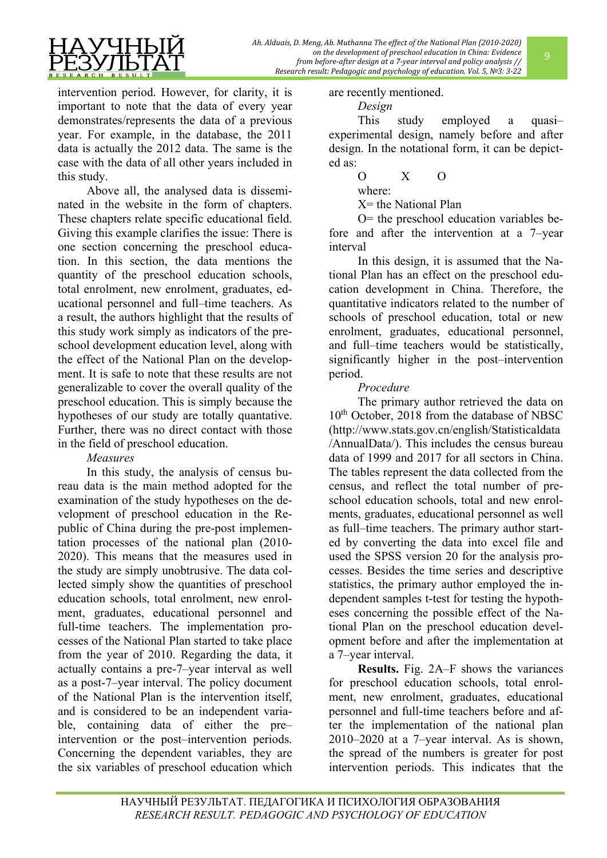

intervention period. However, for clarity, it is important to note that the data of every year demonstrates/represents the data of a previous year. For example, in the database, the 2011 data is actually the 2012 data. The same is the case with the data of all other years included in this study.

Above all, the analysed data is disseminated in the website in the form of chapters. These chapters relate specific educational field. Giving this example clarifies the issue: There is one section concerning the preschool education. In this section, the data mentions the quantity of the preschool education schools, total enrolment, new enrolment, graduates, educational personnel and full–time teachers. As a result, the authors highlight that the results of this study work simply as indicators of the preschool development education level, along with the effect of the National Plan on the development. It is safe to note that these results are not generalizable to cover the overall quality of the preschool education. This is simply because the hypotheses of our study are totally quantative. Further, there was no direct contact with those in the field of preschool education.

# *Measures*

In this study, the analysis of census bureau data is the main method adopted for the examination of the study hypotheses on the development of preschool education in the Republic of China during the pre-post implementation processes of the national plan (2010- 2020). This means that the measures used in the study are simply unobtrusive. The data collected simply show the quantities of preschool education schools, total enrolment, new enrolment, graduates, educational personnel and full-time teachers. The implementation processes of the National Plan started to take place from the year of 2010. Regarding the data, it actually contains a pre-7–year interval as well as a post-7–year interval. The policy document of the National Plan is the intervention itself, and is considered to be an independent variable, containing data of either the pre– intervention or the post–intervention periods. Concerning the dependent variables, they are the six variables of preschool education which

are recently mentioned.

*Design*

This study employed a quasi– experimental design, namely before and after design. In the notational form, it can be depicted as:

$$
0 \qquad X \qquad 0
$$

where:

X= the National Plan

O= the preschool education variables before and after the intervention at a 7–year interval

In this design, it is assumed that the National Plan has an effect on the preschool education development in China. Therefore, the quantitative indicators related to the number of schools of preschool education, total or new enrolment, graduates, educational personnel, and full–time teachers would be statistically, significantly higher in the post–intervention period.

# *Procedure*

The primary author retrieved the data on 10<sup>th</sup> October, 2018 from the database of NBSC [\(http://www.stats.gov.cn/english/Statisticaldata](http://www.stats.gov.cn/english/Statisticaldata/AnnualData/) [/AnnualData/\)](http://www.stats.gov.cn/english/Statisticaldata/AnnualData/). This includes the census bureau data of 1999 and 2017 for all sectors in China. The tables represent the data collected from the census, and reflect the total number of preschool education schools, total and new enrolments, graduates, educational personnel as well as full–time teachers. The primary author started by converting the data into excel file and used the SPSS version 20 for the analysis processes. Besides the time series and descriptive statistics, the primary author employed the independent samples t-test for testing the hypotheses concerning the possible effect of the National Plan on the preschool education development before and after the implementation at a 7–year interval.

**Results.** Fig. 2A–F shows the variances for preschool education schools, total enrolment, new enrolment, graduates, educational personnel and full-time teachers before and after the implementation of the national plan 2010–2020 at a 7–year interval. As is shown, the spread of the numbers is greater for post intervention periods. This indicates that the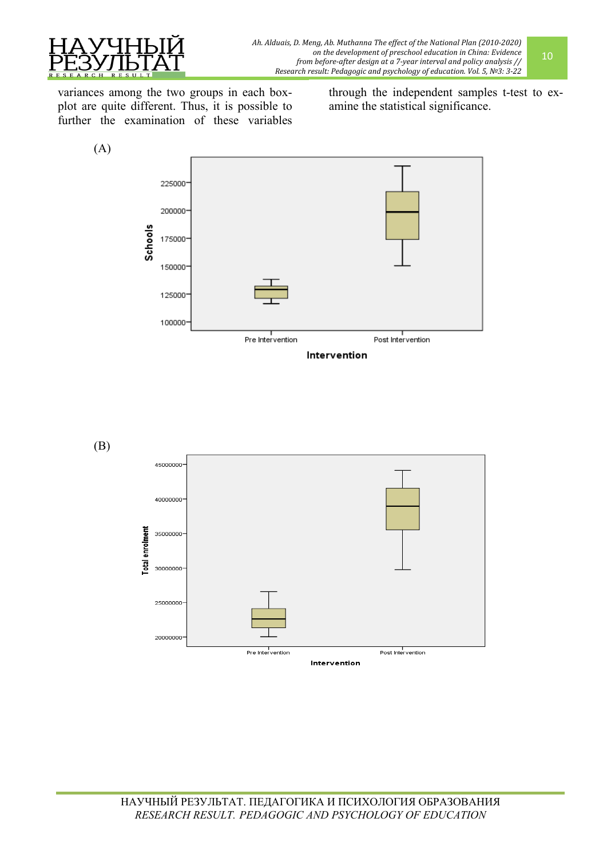

variances among the two groups in each boxplot are quite different. Thus, it is possible to further the examination of these variables through the independent samples t-test to examine the statistical significance.



(B)



10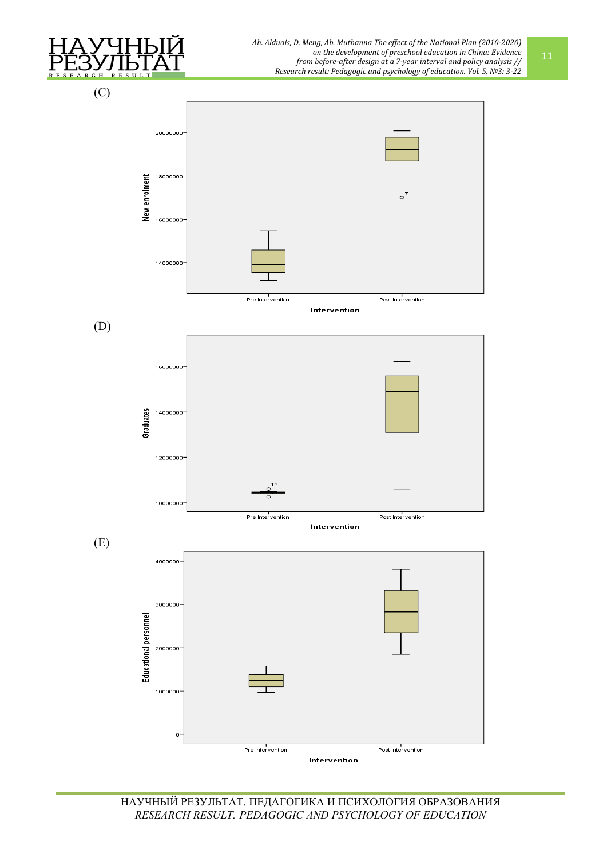

*Ah. Alduais, D. Meng, Ab. Muthanna The effect of the National Plan (2010-2020) on the development of preschool education in China: Evidence from before-after design at a 7-year interval and policy analysis // Research result: Pedagogic and psychology of education. Vol. 5, №3: 3-22*

(C)





НАУЧНЫЙ РЕЗУЛЬТАТ. ПЕДАГОГИКА И ПСИХОЛОГИЯ ОБРАЗОВАНИЯ *RESEARCH RESULT. PEDAGOGIC AND PSYCHOLOGY OF EDUCATION*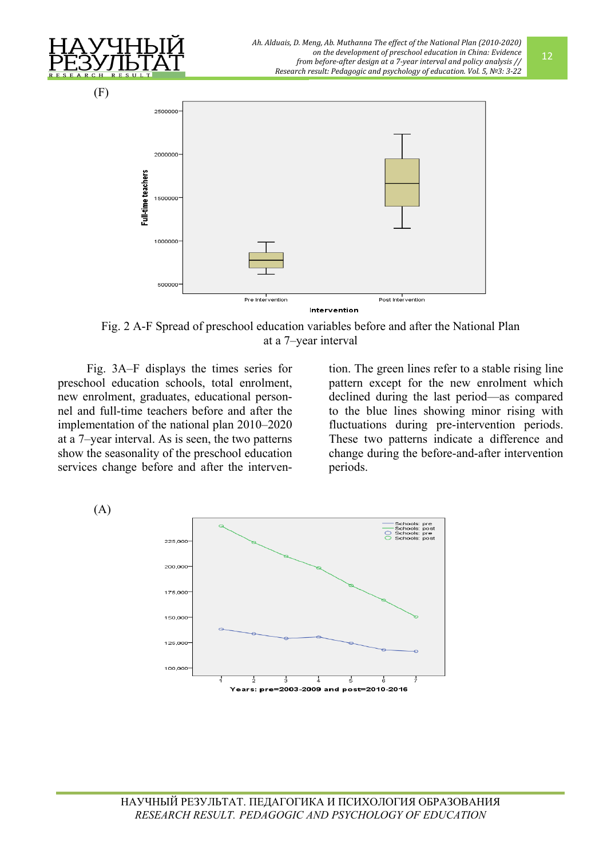

Fig. 2 A-F Spread of preschool education variables before and after the National Plan at a 7–year interval

Fig. 3A–F displays the times series for preschool education schools, total enrolment, new enrolment, graduates, educational personnel and full-time teachers before and after the implementation of the national plan 2010–2020 at a 7–year interval. As is seen, the two patterns show the seasonality of the preschool education services change before and after the intervention. The green lines refer to a stable rising line pattern except for the new enrolment which declined during the last period—as compared to the blue lines showing minor rising with fluctuations during pre-intervention periods. These two patterns indicate a difference and change during the before-and-after intervention periods.

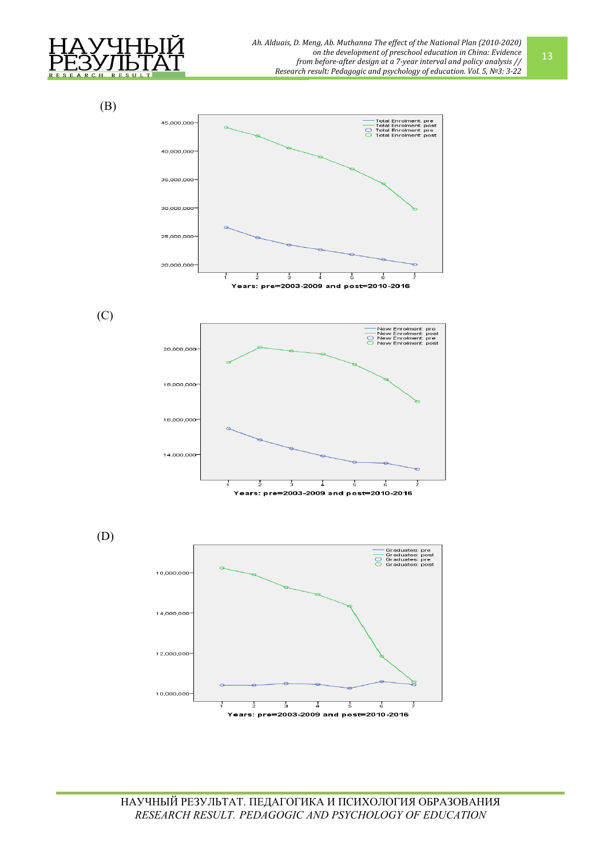

 (B) Total Enrolment: pre<br>Total Enrolment: post<br>Total Enrolment: pre<br>Total Enrolment: post 45,000,000  $\frac{1}{\sqrt{2}}$ 40,000,000 35,000,000 30,000,000 25,000,000 20,000,000 Ę Ę J ears: pre=2003-2009 and post=2010-2016 (C) New Enrolme<br>New Enrolme<br>New Enrolme pre<br>post<br>pre  $\overline{S}$ 20,000,000 18,000,000 16,000,000 14,000,000 ź 5 Years: pre=2003-2009 and post=2010-2016 (D) Graduates: pre<br>Graduates: post<br>Graduates: pre<br>Graduates: post  $\beta$ 16,000,000 14,000,000 12,000,000 10,000,000

 $\overline{4}$ 

Years: pre=2003-2009 and post=2010-2016

Ţ

 $\overline{\phantom{a}}\phantom{a}5$ 

ś

 $\overline{3}$ 

3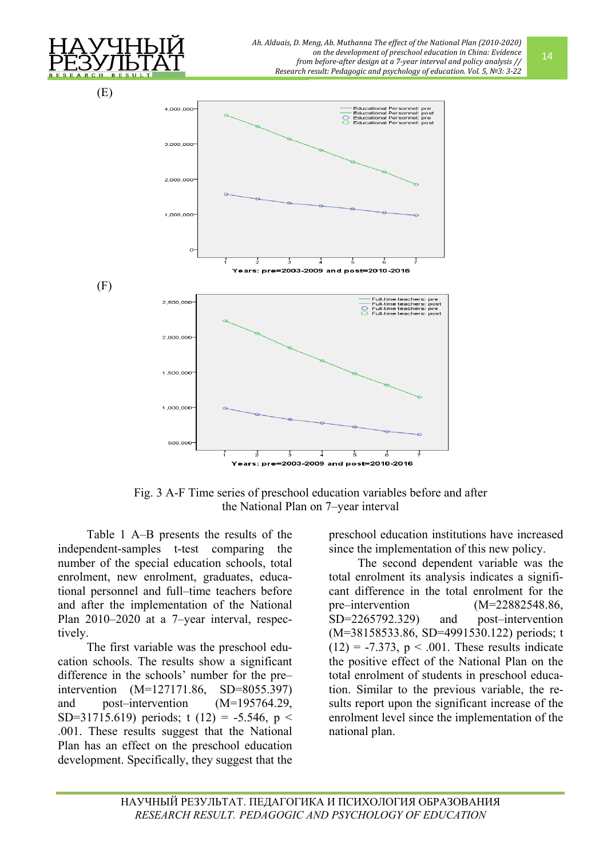

Fig. 3 A-F Time series of preschool education variables before and after the National Plan on 7–year interval

Table 1 A–B presents the results of the independent-samples t-test comparing the number of the special education schools, total enrolment, new enrolment, graduates, educational personnel and full–time teachers before and after the implementation of the National Plan 2010–2020 at a 7–year interval, respectively.

The first variable was the preschool education schools. The results show a significant difference in the schools' number for the pre– intervention (M=127171.86, SD=8055.397) and post–intervention (M=195764.29, SD=31715.619) periods; t (12) = -5.546, p < .001. These results suggest that the National Plan has an effect on the preschool education development. Specifically, they suggest that the

preschool education institutions have increased since the implementation of this new policy.

The second dependent variable was the total enrolment its analysis indicates a significant difference in the total enrolment for the pre–intervention (M=22882548.86, SD=2265792.329) and post–intervention (M=38158533.86, SD=4991530.122) periods; t  $(12) = -7.373$ ,  $p < .001$ . These results indicate the positive effect of the National Plan on the total enrolment of students in preschool education. Similar to the previous variable, the results report upon the significant increase of the enrolment level since the implementation of the national plan.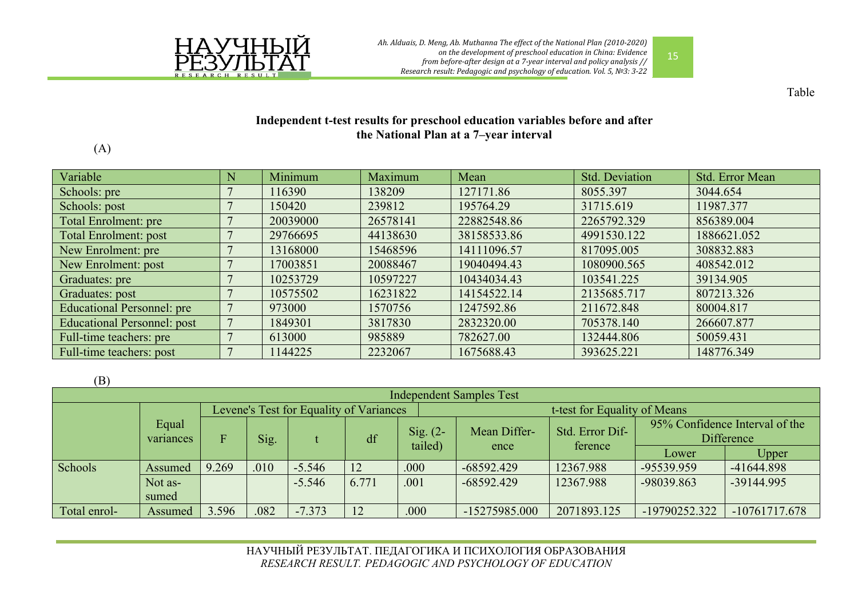



Table

## **Independent t-test results for preschool education variables before and after the National Plan at a 7–year interval**

(A)

| Variable                          | N | Minimum  | Maximum  | Mean        | <b>Std. Deviation</b> | Std. Error Mean |
|-----------------------------------|---|----------|----------|-------------|-----------------------|-----------------|
| Schools: pre                      |   | 16390    | 138209   | 127171.86   | 8055.397              | 3044.654        |
| Schools: post                     |   | 150420   | 239812   | 195764.29   | 31715.619             | 11987.377       |
| Total Enrolment: pre              |   | 20039000 | 26578141 | 22882548.86 | 2265792.329           | 856389.004      |
| <b>Total Enrolment: post</b>      |   | 29766695 | 44138630 | 38158533.86 | 4991530.122           | 1886621.052     |
| New Enrolment: pre                |   | 13168000 | 15468596 | 14111096.57 | 817095.005            | 308832.883      |
| New Enrolment: post               |   | 17003851 | 20088467 | 19040494.43 | 1080900.565           | 408542.012      |
| Graduates: pre                    |   | 10253729 | 10597227 | 10434034.43 | 103541.225            | 39134.905       |
| Graduates: post                   |   | 10575502 | 16231822 | 14154522.14 | 2135685.717           | 807213.326      |
| <b>Educational Personnel: pre</b> |   | 973000   | 1570756  | 1247592.86  | 211672.848            | 80004.817       |
| Educational Personnel: post       |   | 1849301  | 3817830  | 2832320.00  | 705378.140            | 266607.877      |
| Full-time teachers: pre           |   | 613000   | 985889   | 782627.00   | 132444.806            | 50059.431       |
| Full-time teachers: post          |   | 144225   | 2232067  | 1675688.43  | 393625.221            | 148776.349      |

(B)

| <b>Independent Samples Test</b> |                    |                                         |      |          |       |                       |                              |                            |                                              |                 |  |
|---------------------------------|--------------------|-----------------------------------------|------|----------|-------|-----------------------|------------------------------|----------------------------|----------------------------------------------|-----------------|--|
|                                 | Equal<br>variances | Levene's Test for Equality of Variances |      |          |       |                       | t-test for Equality of Means |                            |                                              |                 |  |
|                                 |                    |                                         | Sig. |          | df    | $Sig. (2-$<br>tailed) | Mean Differ-<br>ence         | Std. Error Dif-<br>ference | 95% Confidence Interval of the<br>Difference |                 |  |
|                                 |                    |                                         |      |          |       |                       |                              |                            | Lower                                        | Upper           |  |
| Schools                         | Assumed            | 9.269                                   | .010 | $-5.546$ |       | .000                  | $-68592.429$                 | 12367.988                  | -95539.959                                   | $-41644.898$    |  |
|                                 | Not as-            |                                         |      | $-5.546$ | 6.771 | .001                  | $-68592.429$                 | 12367.988                  | -98039.863                                   | -39144.995      |  |
|                                 | sumed              |                                         |      |          |       |                       |                              |                            |                                              |                 |  |
| Total enrol-                    | Assumed            | 3.596                                   | .082 | $-7.373$ |       | .000                  | -15275985.000                | 2071893.125                | -19790252.322                                | $-10761717.678$ |  |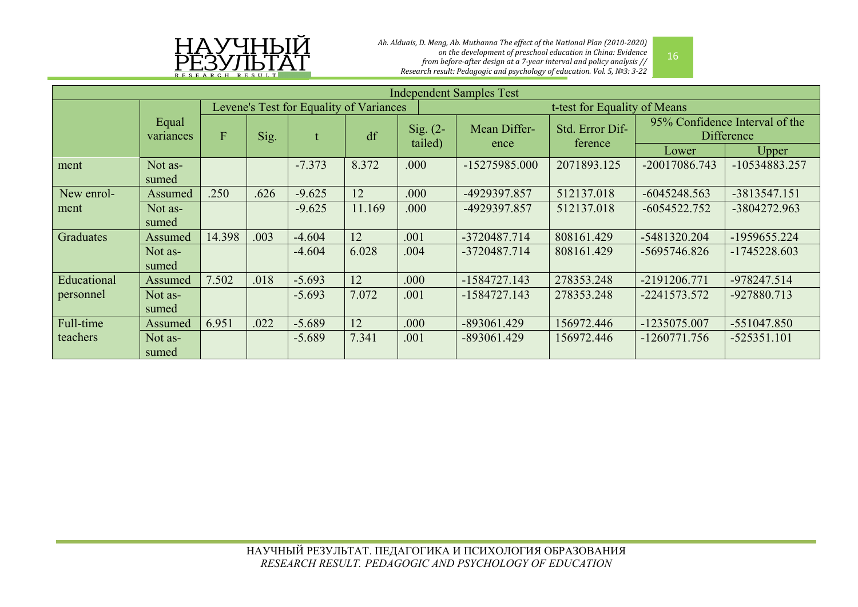

*Ah. Alduais, D. Meng, Ab. Muthanna The effect of the National Plan (2010-2020) on the development of preschool education in China: Evidence from before-after design at a 7-year interval and policy analysis // Research result: Pedagogic and psychology of education. Vol. 5, №3: 3-22*

| <b>Independent Samples Test</b> |                  |                                         |      |          |                       |              |                              |                                              |                |                |
|---------------------------------|------------------|-----------------------------------------|------|----------|-----------------------|--------------|------------------------------|----------------------------------------------|----------------|----------------|
|                                 |                  | Levene's Test for Equality of Variances |      |          |                       |              | t-test for Equality of Means |                                              |                |                |
| Equal<br>variances              | $\overline{F}$   | Sig.                                    |      | df       | Sig. $(2-$<br>tailed) | Mean Differ- | Std. Error Dif-<br>ference   | 95% Confidence Interval of the<br>Difference |                |                |
|                                 |                  |                                         |      |          |                       |              | ence                         |                                              | Lower          | Upper          |
| ment                            | Not as-<br>sumed |                                         |      | $-7.373$ | 8.372                 | .000         | -15275985.000                | 2071893.125                                  | -20017086.743  | -10534883.257  |
| New enrol-                      | Assumed          | .250                                    | .626 | $-9.625$ | 12                    | .000         | -4929397.857                 | 512137.018                                   | $-6045248.563$ | -3813547.151   |
| ment                            | Not as-          |                                         |      | $-9.625$ | 11.169                | .000         | -4929397.857                 | 512137.018                                   | $-6054522.752$ | -3804272.963   |
|                                 | sumed            |                                         |      |          |                       |              |                              |                                              |                |                |
| Graduates                       | Assumed          | 14.398                                  | .003 | $-4.604$ | 12                    | .001         | -3720487.714                 | 808161.429                                   | -5481320.204   | -1959655.224   |
|                                 | Not as-<br>sumed |                                         |      | $-4.604$ | 6.028                 | .004         | -3720487.714                 | 808161.429                                   | -5695746.826   | $-1745228.603$ |
| Educational                     | Assumed          | 7.502                                   | .018 | $-5.693$ | 12                    | .000         | $-1584727.143$               | 278353.248                                   | -2191206.771   | -978247.514    |
| personnel                       | Not as-          |                                         |      | $-5.693$ | 7.072                 | .001         | $-1584727.143$               | 278353.248                                   | -2241573.572   | -927880.713    |
|                                 | sumed            |                                         |      |          |                       |              |                              |                                              |                |                |
| Full-time                       | Assumed          | 6.951                                   | .022 | $-5.689$ | 12                    | .000         | $-893061.429$                | 156972.446                                   | -1235075.007   | $-551047.850$  |
| teachers                        | Not as-<br>sumed |                                         |      | $-5.689$ | 7.341                 | .001         | -893061.429                  | 156972.446                                   | $-1260771.756$ | $-525351.101$  |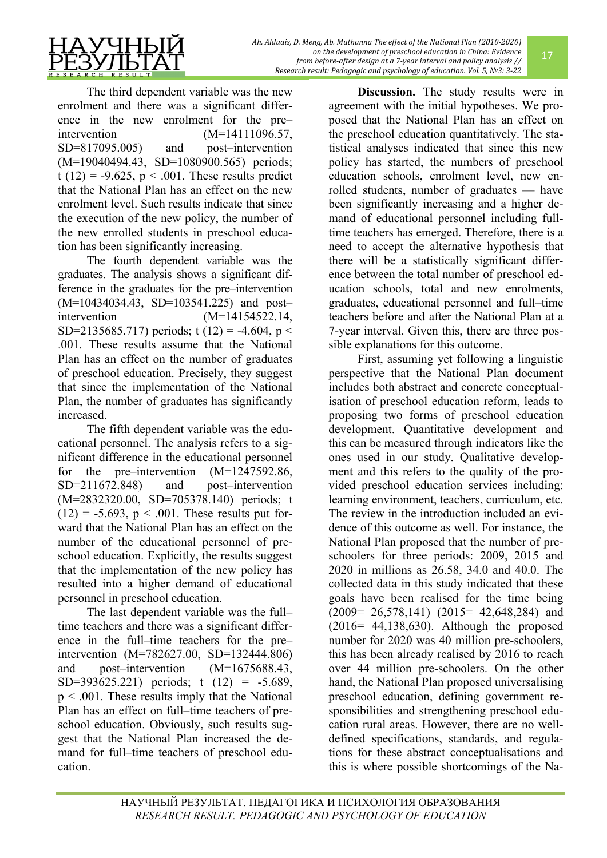The third dependent variable was the new enrolment and there was a significant difference in the new enrolment for the pre– intervention (M=14111096.57, SD=817095.005) and post–intervention (M=19040494.43, SD=1080900.565) periods; t (12) = -9.625,  $p < .001$ . These results predict that the National Plan has an effect on the new enrolment level. Such results indicate that since the execution of the new policy, the number of the new enrolled students in preschool education has been significantly increasing.

The fourth dependent variable was the graduates. The analysis shows a significant difference in the graduates for the pre–intervention (M=10434034.43, SD=103541.225) and post– intervention (M=14154522.14, SD=2135685.717) periods; t (12) = -4.604, p < .001. These results assume that the National Plan has an effect on the number of graduates of preschool education. Precisely, they suggest that since the implementation of the National Plan, the number of graduates has significantly increased.

The fifth dependent variable was the educational personnel. The analysis refers to a significant difference in the educational personnel for the pre–intervention  $(M=1247592.86)$ , SD=211672.848) and post-intervention (M=2832320.00, SD=705378.140) periods; t  $(12) = -5.693$ ,  $p < .001$ . These results put forward that the National Plan has an effect on the number of the educational personnel of preschool education. Explicitly, the results suggest that the implementation of the new policy has resulted into a higher demand of educational personnel in preschool education.

The last dependent variable was the full– time teachers and there was a significant difference in the full–time teachers for the pre– intervention (M=782627.00, SD=132444.806) and post–intervention (M=1675688.43, SD=393625.221) periods; t (12) = -5.689,  $p < .001$ . These results imply that the National Plan has an effect on full–time teachers of preschool education. Obviously, such results suggest that the National Plan increased the demand for full–time teachers of preschool education.

**Discussion.** The study results were in agreement with the initial hypotheses. We proposed that the National Plan has an effect on the preschool education quantitatively. The statistical analyses indicated that since this new policy has started, the numbers of preschool education schools, enrolment level, new enrolled students, number of graduates — have been significantly increasing and a higher demand of educational personnel including fulltime teachers has emerged. Therefore, there is a need to accept the alternative hypothesis that there will be a statistically significant difference between the total number of preschool education schools, total and new enrolments, graduates, educational personnel and full–time teachers before and after the National Plan at a 7-year interval. Given this, there are three possible explanations for this outcome.

First, assuming yet following a linguistic perspective that the National Plan document includes both abstract and concrete conceptualisation of preschool education reform, leads to proposing two forms of preschool education development. Quantitative development and this can be measured through indicators like the ones used in our study. Qualitative development and this refers to the quality of the provided preschool education services including: learning environment, teachers, curriculum, etc. The review in the introduction included an evidence of this outcome as well. For instance, the National Plan proposed that the number of preschoolers for three periods: 2009, 2015 and 2020 in millions as 26.58, 34.0 and 40.0. The collected data in this study indicated that these goals have been realised for the time being (2009= 26,578,141) (2015= 42,648,284) and (2016= 44,138,630). Although the proposed number for 2020 was 40 million pre-schoolers, this has been already realised by 2016 to reach over 44 million pre-schoolers. On the other hand, the National Plan proposed universalising preschool education, defining government responsibilities and strengthening preschool education rural areas. However, there are no welldefined specifications, standards, and regulations for these abstract conceptualisations and this is where possible shortcomings of the Na-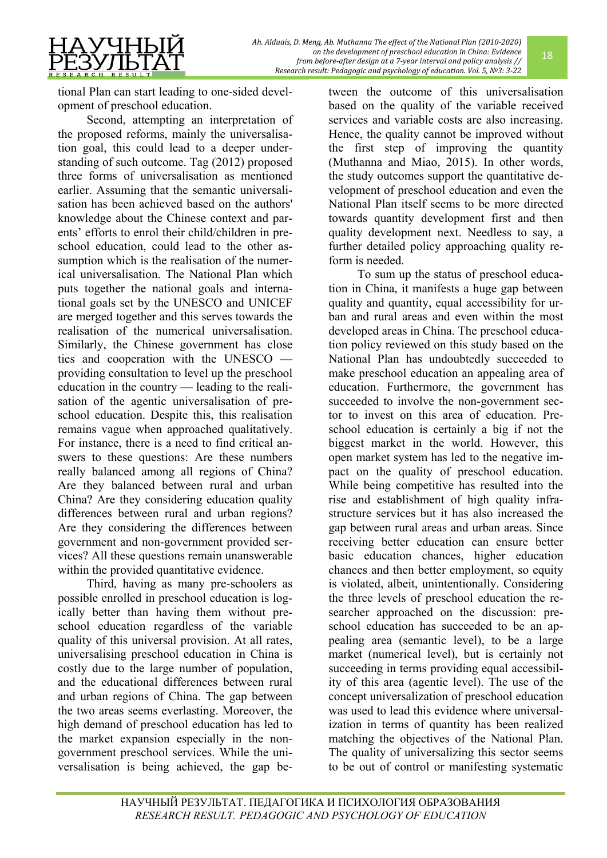tional Plan can start leading to one-sided development of preschool education.

Second, attempting an interpretation of the proposed reforms, mainly the universalisation goal, this could lead to a deeper understanding of such outcome. Tag (2012) proposed three forms of universalisation as mentioned earlier. Assuming that the semantic universalisation has been achieved based on the authors' knowledge about the Chinese context and parents' efforts to enrol their child/children in preschool education, could lead to the other assumption which is the realisation of the numerical universalisation. The National Plan which puts together the national goals and international goals set by the UNESCO and UNICEF are merged together and this serves towards the realisation of the numerical universalisation. Similarly, the Chinese government has close ties and cooperation with the UNESCO providing consultation to level up the preschool education in the country — leading to the realisation of the agentic universalisation of preschool education. Despite this, this realisation remains vague when approached qualitatively. For instance, there is a need to find critical answers to these questions: Are these numbers really balanced among all regions of China? Are they balanced between rural and urban China? Are they considering education quality differences between rural and urban regions? Are they considering the differences between government and non-government provided services? All these questions remain unanswerable within the provided quantitative evidence.

Third, having as many pre-schoolers as possible enrolled in preschool education is logically better than having them without preschool education regardless of the variable quality of this universal provision. At all rates, universalising preschool education in China is costly due to the large number of population, and the educational differences between rural and urban regions of China. The gap between the two areas seems everlasting. Moreover, the high demand of preschool education has led to the market expansion especially in the nongovernment preschool services. While the universalisation is being achieved, the gap between the outcome of this universalisation based on the quality of the variable received services and variable costs are also increasing. Hence, the quality cannot be improved without the first step of improving the quantity (Muthanna and Miao, 2015). In other words, the study outcomes support the quantitative development of preschool education and even the National Plan itself seems to be more directed towards quantity development first and then quality development next. Needless to say, a further detailed policy approaching quality reform is needed.

18

To sum up the status of preschool education in China, it manifests a huge gap between quality and quantity, equal accessibility for urban and rural areas and even within the most developed areas in China. The preschool education policy reviewed on this study based on the National Plan has undoubtedly succeeded to make preschool education an appealing area of education. Furthermore, the government has succeeded to involve the non-government sector to invest on this area of education. Preschool education is certainly a big if not the biggest market in the world. However, this open market system has led to the negative impact on the quality of preschool education. While being competitive has resulted into the rise and establishment of high quality infrastructure services but it has also increased the gap between rural areas and urban areas. Since receiving better education can ensure better basic education chances, higher education chances and then better employment, so equity is violated, albeit, unintentionally. Considering the three levels of preschool education the researcher approached on the discussion: preschool education has succeeded to be an appealing area (semantic level), to be a large market (numerical level), but is certainly not succeeding in terms providing equal accessibility of this area (agentic level). The use of the concept universalization of preschool education was used to lead this evidence where universalization in terms of quantity has been realized matching the objectives of the National Plan. The quality of universalizing this sector seems to be out of control or manifesting systematic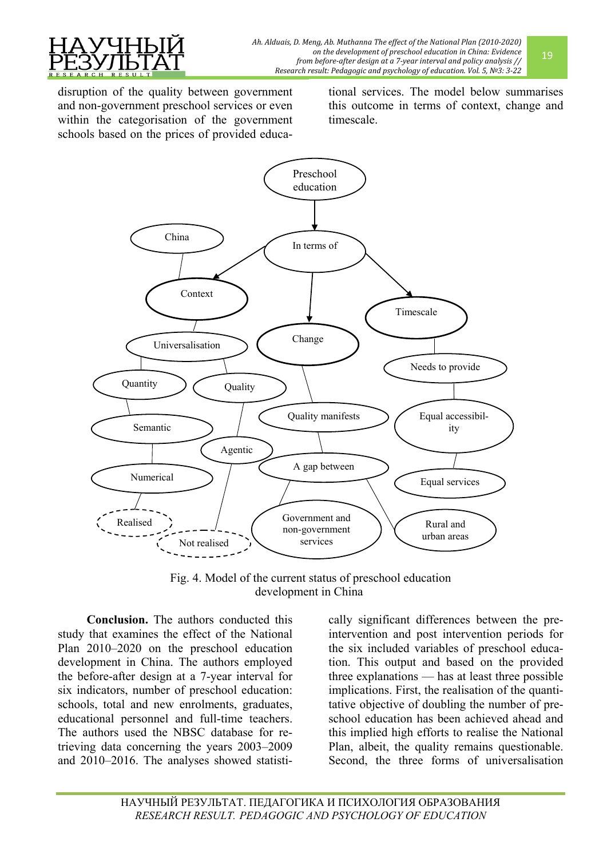

disruption of the quality between government and non-government preschool services or even within the categorisation of the government schools based on the prices of provided educational services. The model below summarises this outcome in terms of context, change and timescale.



Fig. 4. Model of the current status of preschool education development in China

**Conclusion.** The authors conducted this study that examines the effect of the National Plan 2010–2020 on the preschool education development in China. The authors employed the before-after design at a 7-year interval for six indicators, number of preschool education: schools, total and new enrolments, graduates, educational personnel and full-time teachers. The authors used the NBSC database for retrieving data concerning the years 2003–2009 and 2010–2016. The analyses showed statistically significant differences between the preintervention and post intervention periods for the six included variables of preschool education. This output and based on the provided three explanations — has at least three possible implications. First, the realisation of the quantitative objective of doubling the number of preschool education has been achieved ahead and this implied high efforts to realise the National Plan, albeit, the quality remains questionable. Second, the three forms of universalisation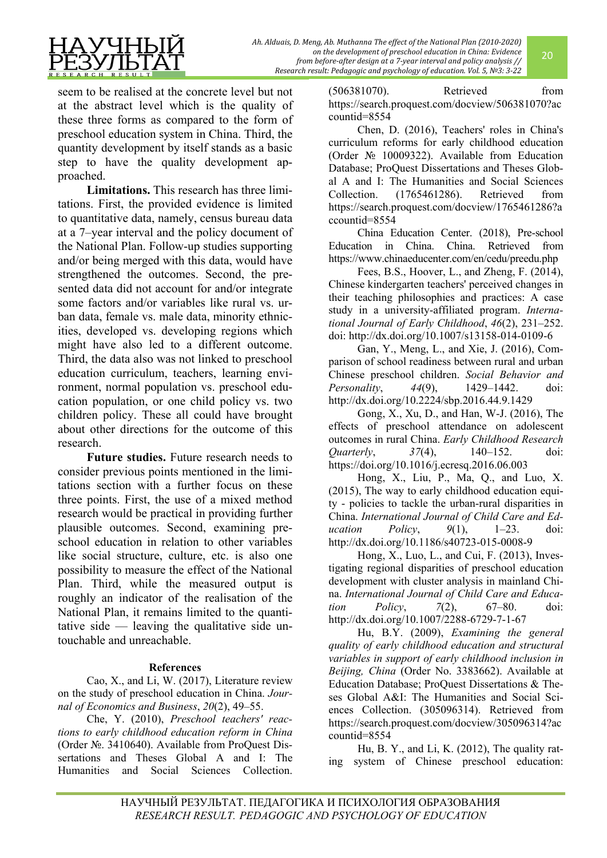

seem to be realised at the concrete level but not at the abstract level which is the quality of these three forms as compared to the form of preschool education system in China. Third, the quantity development by itself stands as a basic step to have the quality development approached.

**Limitations.** This research has three limitations. First, the provided evidence is limited to quantitative data, namely, census bureau data at a 7–year interval and the policy document of the National Plan. Follow-up studies supporting and/or being merged with this data, would have strengthened the outcomes. Second, the presented data did not account for and/or integrate some factors and/or variables like rural vs. urban data, female vs. male data, minority ethnicities, developed vs. developing regions which might have also led to a different outcome. Third, the data also was not linked to preschool education curriculum, teachers, learning environment, normal population vs. preschool education population, or one child policy vs. two children policy. These all could have brought about other directions for the outcome of this research.

**Future studies.** Future research needs to consider previous points mentioned in the limitations section with a further focus on these three points. First, the use of a mixed method research would be practical in providing further plausible outcomes. Second, examining preschool education in relation to other variables like social structure, culture, etc. is also one possibility to measure the effect of the National Plan. Third, while the measured output is roughly an indicator of the realisation of the National Plan, it remains limited to the quantitative side — leaving the qualitative side untouchable and unreachable.

## **References**

Cao, X., and Li, W. (2017), Literature review on the study of preschool education in China. *Journal of Economics and Business*, *20*(2), 49–55.

Che, Y. (2010), *Preschool teachers' reactions to early childhood education reform in China* (Order №. 3410640). Available from ProQuest Dissertations and Theses Global A and I: The Humanities and Social Sciences Collection.

(506381070). Retrieved from [https://search.proquest.com/docview/506381070?ac](https://search.proquest.com/docview/506381070?accountid=8554) [countid=8554](https://search.proquest.com/docview/506381070?accountid=8554)

Chen, D. (2016), Teachers' roles in China's curriculum reforms for early childhood education (Order № 10009322). Available from Education Database; ProQuest Dissertations and Theses Global A and I: The Humanities and Social Sciences Collection. (1765461286). Retrieved from [https://search.proquest.com/docview/1765461286?a](https://search.proquest.com/docview/1765461286?accountid=8554) [ccountid=8554](https://search.proquest.com/docview/1765461286?accountid=8554)

China Education Center. (2018), Pre-school Education in China. China. Retrieved from https://www.chinaeducenter.com/en/cedu/preedu.php

Fees, B.S., Hoover, L., and Zheng, F. (2014), Chinese kindergarten teachers' perceived changes in their teaching philosophies and practices: A case study in a university-affiliated program. *International Journal of Early Childhood*, *46*(2), 231–252. doi: [http://dx.doi.org/10.1007/s13158](http://dx.doi.org/10.1007/s13158-014-0109-6)-014-0109-6

Gan, Y., Meng, L., and Xie, J. (2016), Comparison of school readiness between rural and urban Chinese preschool children. *Social Behavior and Personality*, *44*(9), 1429–1442. doi: <http://dx.doi.org/10.2224/sbp.2016.44.9.1429>

Gong, X., Xu, D., and Han, W-J. (2016), The effects of preschool attendance on adolescent outcomes in rural China. *Early Childhood Research Quarterly*, *37*(4), 140–152. doi: <https://doi.org/10.1016/j.ecresq.2016.06.003>

Hong, X., Liu, P., Ma, Q., and Luo, X. (2015), The way to early childhood education equity - policies to tackle the urban-rural disparities in China. *International Journal of Child Care and Education Policy*, *9*(1), 1–23. doi: [http://dx.doi.org/10.1186/s40723](http://dx.doi.org/10.1186/s40723-015-0008-9)-015-0008-9

Hong, X., Luo, L., and Cui, F. (2013), Investigating regional disparities of preschool education development with cluster analysis in mainland China. *International Journal of Child Care and Education Policy*, *7*(2), 67–80. doi: [http://dx.doi.org/10.1007/2288](http://dx.doi.org/10.1007/2288-6729-7-1-67)-6729-7-1-67

Hu, B.Y. (2009), *Examining the general quality of early childhood education and structural variables in support of early childhood inclusion in Beijing, China* (Order No. 3383662). Available at Education Database; ProQuest Dissertations & Theses Global A&I: The Humanities and Social Sciences Collection. (305096314). Retrieved from https://search.proquest.com/docview/305096314?ac countid=8554

Hu, B. Y., and Li, K. (2012), The quality rating system of Chinese preschool education: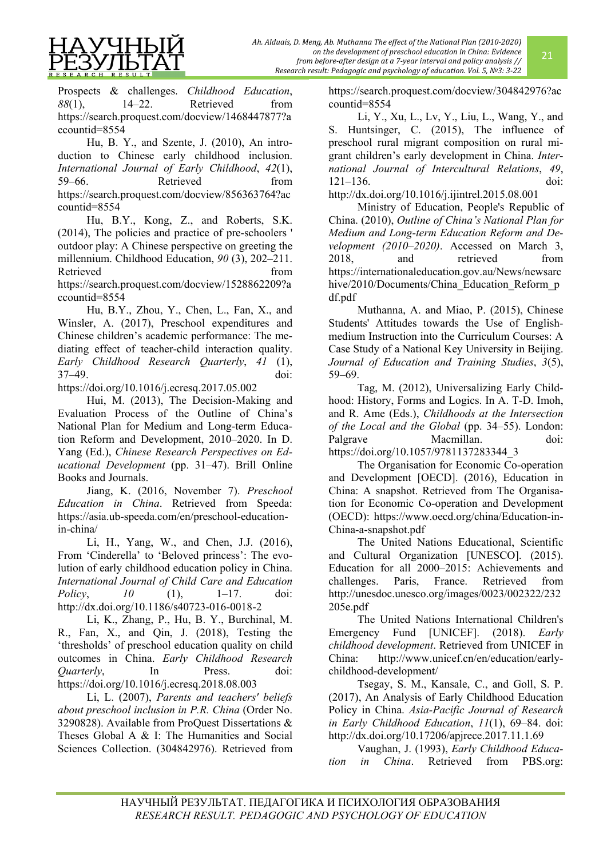Prospects & challenges. *Childhood Education*, 88(1), 14–22. Retrieved from [https://search.proquest.com/docview/1468447877?a](https://search.proquest.com/docview/1468447877?accountid=8554) [ccountid=8554](https://search.proquest.com/docview/1468447877?accountid=8554)

Hu, B. Y., and Szente, J. (2010), An introduction to Chinese early childhood inclusion. *International Journal of Early Childhood*, *42*(1), 59–66. Retrieved from [https://search.proquest.com/docview/856363764?ac](https://search.proquest.com/docview/856363764?accountid=8554) [countid=8554](https://search.proquest.com/docview/856363764?accountid=8554)

Hu, B.Y., Kong, Z., and Roberts, S.K. (2014), The policies and practice of pre-schoolers ' outdoor play: A Chinese perspective on greeting the millennium. Childhood Education, *90* (3), 202–211. Retrieved from the state of the state of the state of the state of the state of the state of the state of the state of the state of the state of the state of the state of the state of the state of the state of the state of [https://search.proquest.com/docview/1528862209?a](https://search.proquest.com/docview/1528862209?accountid=8554)

[ccountid=8554](https://search.proquest.com/docview/1528862209?accountid=8554)

Hu, B.Y., Zhou, Y., Chen, L., Fan, X., and Winsler, A. (2017), Preschool expenditures and Chinese children's academic performance: The mediating effect of teacher-child interaction quality. *Early Childhood Research Quarterly*, *41* (1), 37–49. doi:

<https://doi.org/10.1016/j.ecresq.2017.05.002>

Hui, M. (2013), The Decision-Making and Evaluation Process of the Outline of China's National Plan for Medium and Long-term Education Reform and Development, 2010–2020. In D. Yang (Ed.), *Chinese Research Perspectives on Educational Development* (pp. 31–47). Brill Online Books and Journals.

Jiang, K. (2016, November 7). *Preschool Education in China*. Retrieved from Speeda: https://asia.ub-speeda.com/en/preschool-educationin-china/

Li, H., Yang, W., and Chen, J.J. (2016), From 'Cinderella' to 'Beloved princess': The evolution of early childhood education policy in China. *International Journal of Child Care and Education Policy*, *10* (1), 1–17. doi: [http://dx.doi.org/10.1186/s40723](http://dx.doi.org/10.1186/s40723-016-0018-2)-016-0018-2

Li, K., Zhang, P., Hu, B. Y., Burchinal, M. R., Fan, X., and Qin, J. (2018), Testing the 'thresholds' of preschool education quality on child outcomes in China. *Early Childhood Research Quarterly*, In Press. doi: <https://doi.org/10.1016/j.ecresq.2018.08.003>

Li, L. (2007), *Parents and teachers' beliefs about preschool inclusion in P.R. China* (Order No. 3290828). Available from ProQuest Dissertations & Theses Global A & I: The Humanities and Social Sciences Collection. (304842976). Retrieved from [https://search.proquest.com/docview/304842976?ac](https://search.proquest.com/docview/304842976?accountid=8554) [countid=8554](https://search.proquest.com/docview/304842976?accountid=8554)

Li, Y., Xu, L., Lv, Y., Liu, L., Wang, Y., and S. Huntsinger, C. (2015), The influence of preschool rural migrant composition on rural migrant children's early development in China. *International Journal of Intercultural Relations*, *49*, 121–136. doi:

<http://dx.doi.org/10.1016/j.ijintrel.2015.08.001>

Ministry of Education, People's Republic of China. (2010), *Outline of China's National Plan for Medium and Long-term Education Reform and Development (2010*–*2020)*. Accessed on March 3, 2018, and retrieved from [https://internationaleducation.gov.au/News/newsarc](https://internationaleducation.gov.au/News/newsarchive/2010/Documents/China_Educati%E2%80%8Eon_Reform_pdf.pdf) hive/2010/Documents/China Education Reform p [df.pdf](https://internationaleducation.gov.au/News/newsarchive/2010/Documents/China_Educati%E2%80%8Eon_Reform_pdf.pdf)

Muthanna, A. and Miao, P. (2015), Chinese Students' Attitudes towards the Use of Englishmedium Instruction into the Curriculum Courses: A Case Study of a National Key University in Beijing. *Journal of Education and Training Studies*, *3*(5), 59–69.

Tag, M. (2012), Universalizing Early Childhood: History, Forms and Logics. In A. T-D. Imoh, and R. Ame (Eds.), *Childhoods at the Intersection of the Local and the Global* (pp. 34–55). London: Palgrave Macmillan. doi: [https://doi.org/10.1057/9781137283344\\_3](https://doi.org/10.1057/9781137283344_3)

The Organisation for Economic Co-operation and Development [OECD]. (2016), Education in China: A snapshot. Retrieved from The Organisation for Economic Co-operation and Development (OECD): [https://www.oecd.org/china/Education](https://www.oecd.org/china/Education-in-China-a-snapshot.pdf)-in-China-a-[snapshot.pdf](https://www.oecd.org/china/Education-in-China-a-snapshot.pdf)

The United Nations Educational, Scientific and Cultural Organization [UNESCO]. (2015). Education for all 2000–2015: Achievements and challenges. Paris, France. Retrieved from [http://unesdoc.unesco.org/images/0023/002322/232](http://unesdoc.unesco.org/images/0023/002322/232205e.pdf) [205e.pdf](http://unesdoc.unesco.org/images/0023/002322/232205e.pdf)

The United Nations International Children's Emergency Fund [UNICEF]. (2018). *Early childhood development*. Retrieved from UNICEF in China: [http://www.unicef.cn/en/education/early](http://www.unicef.cn/en/education/early-childhood-development/%E2%80%8E)childhood-[development/](http://www.unicef.cn/en/education/early-childhood-development/%E2%80%8E)

Tsegay, S. M., Kansale, C., and Goll, S. P. (2017), An Analysis of Early Childhood Education Policy in China. *Asia-Pacific Journal of Research in Early Childhood Education*, *11*(1), 69–84. doi: <http://dx.doi.org/10.17206/apjrece.2017.11.1.69>

Vaughan, J. (1993), *Early Childhood Education in China*. Retrieved from PBS.org: